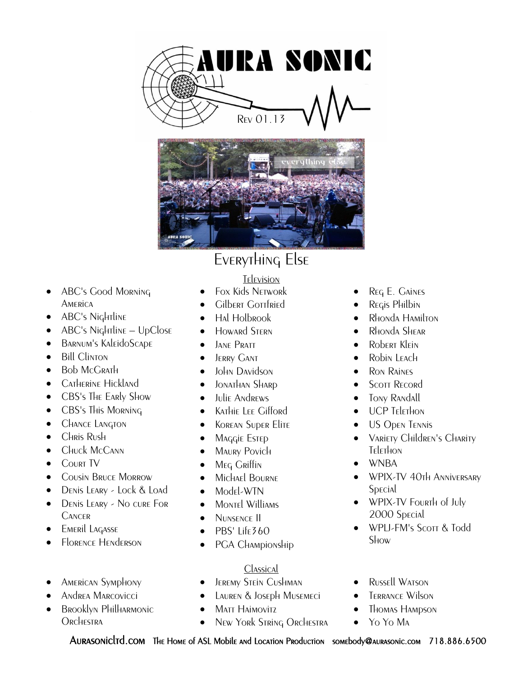



- ABC's Good Morning **AMERICA**
- ABC's Nightline
- ABC's Nightline UpClose
- Barnum's KaleidoScape
- **Bill Clinton**
- $\bullet$  Bob McGrath
- Catherine Hickland
- CBS's The Early Show
- CBS's This Morning
- **•** CHANCE LANGTON
- CHRIS Rush
- CHuck McCann
- **COURT TV**
- **COUSIN BRUCE MORROW**
- DENIS LEARY Lock & Load
- DENIS LEARY No cure For **CANCER**
- **EMERIL LAGASSE**
- Florence Henderson
- American Symphony
- Andrea Marcovicci
- Brooklyn Philharmonic **ORCHESTRA**

## Television

- Fox Kids Network
- Gilbert Gottfried
- Hal Holbrook
- **•** Howard Stern
- **JANE PRATT**
- **•** JERRY GANT
- John Davidson
- $\bullet$  JONATHAN SHARD
- **Julie Andrews**
- **•** Kathie Lee Gifford
- Korean Super Elite
- **MAGGIE ESTED**
- MAURY Povich
- Meg Griffin
- **•** Michael BOURNE
- Model-WTN
- MONTEL WIlliams
- · NUNSENCE II
- $\bullet$  PBS' Life360
- PGA Championship

## Classical

- Jeremy Stein Cushman
- Lauren & Joseph Musemeci
- Matt Haimovitz
- New York String Orchestra
- Reg E. Gaines
- Regis Philbin
- Rhonda Hamilton
- Rhonda Shear
- Robert Klein
- Robin LEACH
- Ron Raines
- Scott Record
- Tony Randall
- UCP TELETHON
- **US Open TENNIS**
- VARIETY CHILDREN'S CHARITY Telethon
- WNBA
- WPIX-TV 40th Anniversary **Special**
- WPIX-TV Fourth of July 2000 Special
- WPLI-FM's Scott & Todd **Show**
- Russell Watson
- Terrance Wilson
- Thomas Hampson
- Yo Yo Ma

Aurasonicltd.com The Home of ASL Mobile and Location Production somebody@aurasonic.com 718.886.6500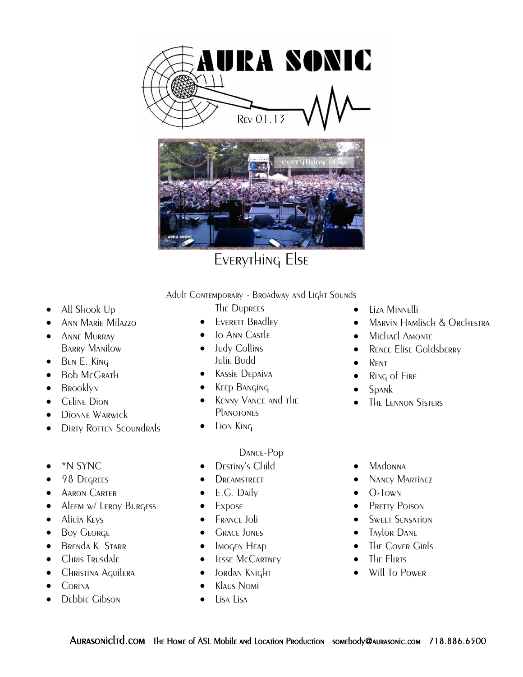



# Everything Else

#### Adult Contemporary - Broadway and Light Sounds

- All Shook Up
- Ann Marie Milazzo
- Anne Murray Barry Manilow
- $\bullet$  BEN E. King
- Bob McGrath
- **BROOKLYN**
- **C**ELINE DION
- Dionne Warwick
- DIRTY ROTTEN SCOUNDRALS
- \*N SYNC
- 98 Degrees
- **•** AARON CARTER
- ALEEM W/ LEROY BURGESS
- **•** Alicia Keys
- Boy GEORGE
- **BRENDA K. STARR**
- Chris Trusdale
- **•** Christina Aquilera
- $\bullet$  Corina
- **•** Debbie Gibson
- The Duprees
- EVERETT BRAdley
- Jo Ann Castle
- Judy Collins Julie Budd
- **•** Kassie Depaiva
- **KEEP BANGING**
- KENNY VANCE AND THE **PLANOTONES**
- Lion King

#### Dance-Pop

- DESTINY's Child
- **DREAMSTREET**
- E.G. Daily
- Expose
- **FRANCE Joli**
- **GRACE JONES**
- Imogen Heap
- **•** JESSE McCARTNEY
- **•** Jordan Knight
- Klaus Nomi
- Lisa Lisa
- Liza Minnelli
- **MARVIN HAMLISCH & ORCHESTRA**
- **•** Michael Amonte
- **•** RENEE Elise Goldsberry
- $\bullet$  RENT
- Ring of Fire
- $\bullet$  Spank
- The Lennon Sisters
- Madonna
- Nancy Martinez
- $\bullet$  O-Town
- PRETTY POISON
- **SWEET SENSATION**
- Taylor Dane
- The Cover Girls
- The Flirts
- Will To Power